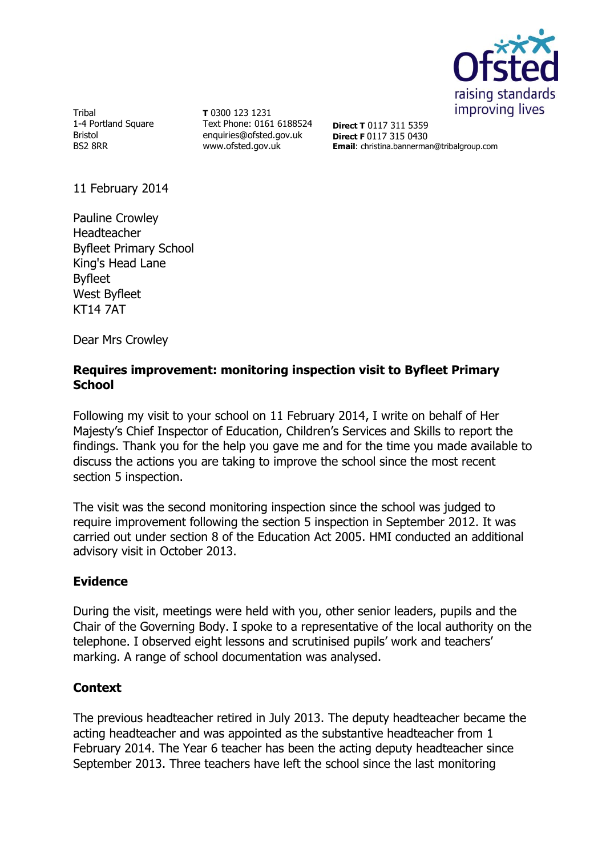

Tribal 1-4 Portland Square Bristol BS2 8RR

**T** 0300 123 1231 Text Phone: 0161 6188524 enquiries@ofsted.gov.uk www.ofsted.gov.uk

**Direct T** 0117 311 5359 **Direct F** 0117 315 0430 **Email**: christina.bannerman@tribalgroup.com

11 February 2014

Pauline Crowley Headteacher Byfleet Primary School King's Head Lane Byfleet West Byfleet KT14 7AT

Dear Mrs Crowley

### **Requires improvement: monitoring inspection visit to Byfleet Primary School**

Following my visit to your school on 11 February 2014, I write on behalf of Her Majesty's Chief Inspector of Education, Children's Services and Skills to report the findings. Thank you for the help you gave me and for the time you made available to discuss the actions you are taking to improve the school since the most recent section 5 inspection.

The visit was the second monitoring inspection since the school was judged to require improvement following the section 5 inspection in September 2012. It was carried out under section 8 of the Education Act 2005. HMI conducted an additional advisory visit in October 2013.

# **Evidence**

During the visit, meetings were held with you, other senior leaders, pupils and the Chair of the Governing Body. I spoke to a representative of the local authority on the telephone. I observed eight lessons and scrutinised pupils' work and teachers' marking. A range of school documentation was analysed.

# **Context**

The previous headteacher retired in July 2013. The deputy headteacher became the acting headteacher and was appointed as the substantive headteacher from 1 February 2014. The Year 6 teacher has been the acting deputy headteacher since September 2013. Three teachers have left the school since the last monitoring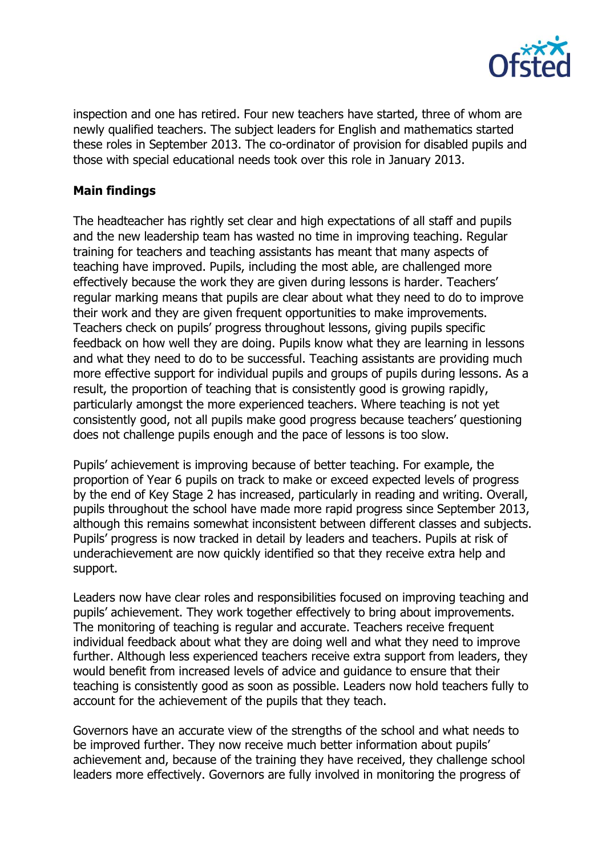

inspection and one has retired. Four new teachers have started, three of whom are newly qualified teachers. The subject leaders for English and mathematics started these roles in September 2013. The co-ordinator of provision for disabled pupils and those with special educational needs took over this role in January 2013.

#### **Main findings**

The headteacher has rightly set clear and high expectations of all staff and pupils and the new leadership team has wasted no time in improving teaching. Regular training for teachers and teaching assistants has meant that many aspects of teaching have improved. Pupils, including the most able, are challenged more effectively because the work they are given during lessons is harder. Teachers' regular marking means that pupils are clear about what they need to do to improve their work and they are given frequent opportunities to make improvements. Teachers check on pupils' progress throughout lessons, giving pupils specific feedback on how well they are doing. Pupils know what they are learning in lessons and what they need to do to be successful. Teaching assistants are providing much more effective support for individual pupils and groups of pupils during lessons. As a result, the proportion of teaching that is consistently good is growing rapidly, particularly amongst the more experienced teachers. Where teaching is not yet consistently good, not all pupils make good progress because teachers' questioning does not challenge pupils enough and the pace of lessons is too slow.

Pupils' achievement is improving because of better teaching. For example, the proportion of Year 6 pupils on track to make or exceed expected levels of progress by the end of Key Stage 2 has increased, particularly in reading and writing. Overall, pupils throughout the school have made more rapid progress since September 2013, although this remains somewhat inconsistent between different classes and subjects. Pupils' progress is now tracked in detail by leaders and teachers. Pupils at risk of underachievement are now quickly identified so that they receive extra help and support.

Leaders now have clear roles and responsibilities focused on improving teaching and pupils' achievement. They work together effectively to bring about improvements. The monitoring of teaching is regular and accurate. Teachers receive frequent individual feedback about what they are doing well and what they need to improve further. Although less experienced teachers receive extra support from leaders, they would benefit from increased levels of advice and guidance to ensure that their teaching is consistently good as soon as possible. Leaders now hold teachers fully to account for the achievement of the pupils that they teach.

Governors have an accurate view of the strengths of the school and what needs to be improved further. They now receive much better information about pupils' achievement and, because of the training they have received, they challenge school leaders more effectively. Governors are fully involved in monitoring the progress of